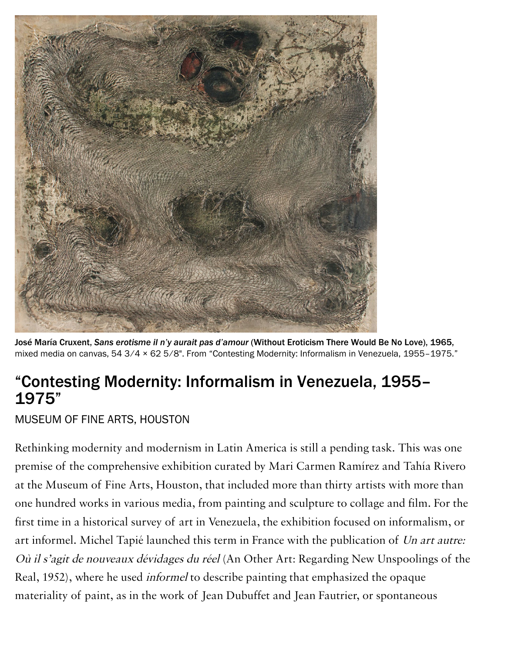

José María Cruxent, *Sans erotisme il n'y aurait pas d'amour* (Without Eroticism There Would Be No Love), 1965, mixed media on canvas, 54 3/4 × 62 5/8". From "Contesting Modernity: Informalism in Venezuela, 1955-1975."

## ["Contesting Modernity: Informalism in Venezuela, 1955–](https://www.artforum.com/print/reviews/201902/contesting-modernity-informalism-in-venezuela-1955-1975-78461) 1975"

[MUSEUM OF FINE ARTS, HOUSTON](https://www.artforum.com/artguide/museum-of-fine-arts-houston-760)

Rethinking modernity and modernism in Latin America is still a pending task. This was one premise of the comprehensive exhibition curated by Mari Carmen Ramírez and Tahía Rivero at the Museum of Fine Arts, Houston, that included more than thirty artists with more than one hundred works in various media, from painting and sculpture to collage and film. For the first time in a historical survey of art in Venezuela, the exhibition focused on informalism, or art informel. Michel Tapié launched this term in France with the publication of Un art autre: Où il s'agit de nouveaux dévidages du réel (An Other Art: Regarding New Unspoolings of the Real, 1952), where he used informel to describe painting that emphasized the opaque materiality of paint, as in the work of Jean Dubuffet and Jean Fautrier, or spontaneous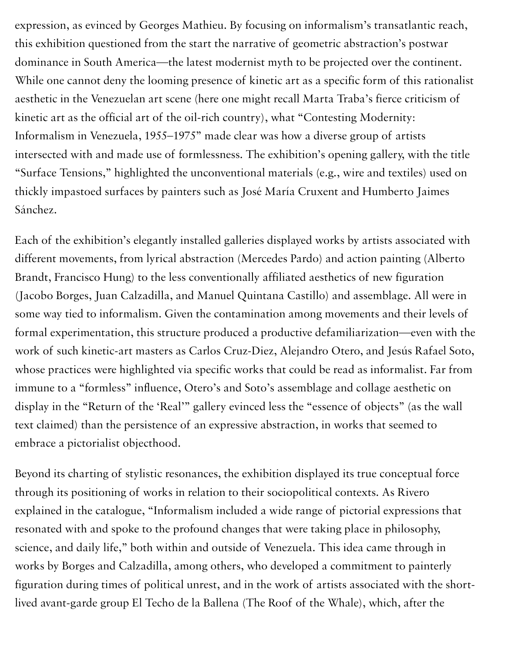expression, as evinced by Georges Mathieu. By focusing on informalism's transatlantic reach, this exhibition questioned from the start the narrative of geometric abstraction's postwar dominance in South America—the latest modernist myth to be projected over the continent. While one cannot deny the looming presence of kinetic art as a specific form of this rationalist aesthetic in the Venezuelan art scene (here one might recall Marta Traba's fierce criticism of kinetic art as the official art of the oil-rich country), what "Contesting Modernity: Informalism in Venezuela, 1955–1975" made clear was how a diverse group of artists intersected with and made use of formlessness. The exhibition's opening gallery, with the title "Surface Tensions," highlighted the unconventional materials (e.g., wire and textiles) used on thickly impastoed surfaces by painters such as José María Cruxent and Humberto Jaimes Sánchez.

Each of the exhibition's elegantly installed galleries displayed works by artists associated with different movements, from lyrical abstraction (Mercedes Pardo) and action painting (Alberto Brandt, Francisco Hung) to the less conventionally affiliated aesthetics of new figuration (Jacobo Borges, Juan Calzadilla, and Manuel Quintana Castillo) and assemblage. All were in some way tied to informalism. Given the contamination among movements and their levels of formal experimentation, this structure produced a productive defamiliarization—even with the work of such kinetic-art masters as Carlos Cruz-Diez, Alejandro Otero, and Jesús Rafael Soto, whose practices were highlighted via specific works that could be read as informalist. Far from immune to a "formless" influence, Otero's and Soto's assemblage and collage aesthetic on display in the "Return of the 'Real'" gallery evinced less the "essence of objects" (as the wall text claimed) than the persistence of an expressive abstraction, in works that seemed to embrace a pictorialist objecthood.

Beyond its charting of stylistic resonances, the exhibition displayed its true conceptual force through its positioning of works in relation to their sociopolitical contexts. As Rivero explained in the catalogue, "Informalism included a wide range of pictorial expressions that resonated with and spoke to the profound changes that were taking place in philosophy, science, and daily life," both within and outside of Venezuela. This idea came through in works by Borges and Calzadilla, among others, who developed a commitment to painterly figuration during times of political unrest, and in the work of artists associated with the shortlived avant-garde group El Techo de la Ballena (The Roof of the Whale), which, after the